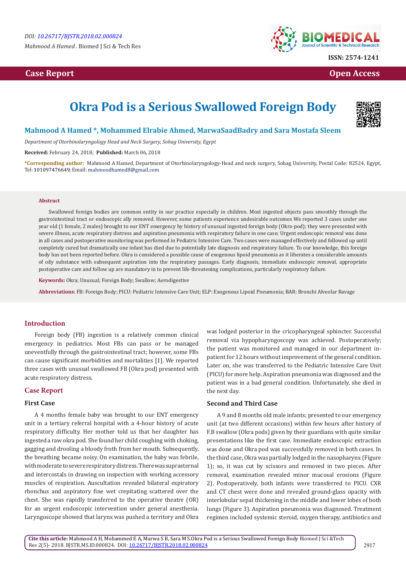# **Case Report Case Report Case Access**  $\alpha$  **Case Report** Case **Open Access Open Access**



# **Okra Pod is a Serious Swallowed Foreign Body**



# **Mahmood A Hamed \*, Mohammed Elrabie Ahmed, MarwaSaadBadry and Sara Mostafa Sleem**

*Department of Otorhinolaryngology Head and Neck Surgery, Sohag University, Egypt*

**Received:** February 24, 2018; **Published:** March 06, 2018

**\*Corresponding author:** Mahmood A Hamed, Department of Otorhinolaryngology-Head and neck surgery, Sohag University, Postal Code: 82524, Egypt, Tel: 101097476649; Email: mahmoodhamed8@gmail.com

#### **Abstract**

Swallowed foreign bodies are common entity in our practice especially in children. Most ingested objects pass smoothly through the gastrointestinal tract or endoscopic ally removed. However, some patients experience undesirable outcomes We reported 3 cases under one year old (1 female, 2 males) brought to our ENT emergency by history of unusual ingested foreign body (Okra-pod); they were presented with severe illness, acute respiratory distress and aspiration pneumonia with respiratory failure in one case; Urgent endoscopic removal was done in all cases and postoperative monitoring was performed in Pediatric Intensive Care. Two cases were managed effectively and followed up until completely cured but dramatically one infant has died due to potentially late diagnosis and respiratory failure. To our knowledge, this foreign body has not been reported before. Okra is considered a possible cause of exogenous lipoid pneumonia as it liberates a considerable amounts of oily substance with subsequent aspiration into the respiratory passages. Early diagnosis, immediate endoscopic removal, appropriate postoperative care and follow up are mandatory in to prevent life-threatening complications, particularly respiratory failure.

**Keywords:** Okra; Unusual; Foreign Body; Swallow; Aerodigestive

**Abbreviations**: FB: Foreign Body; PICU: Pediatric Intensive Care Unit; ELP: Exogenous Lipoid Pneumonia; BAR: Bronchi Alveolar Ravage

## **Introduction**

Foreign body (FB) ingestion is a relatively common clinical emergency in pediatrics. Most FBs can pass or be managed uneventfully through the gastrointestinal tract; however, some FBs can cause significant morbidities and mortalities [1]. We reported three cases with unusual swallowed FB (Okra pod) presented with acute respiratory distress.

# **Case Report**

#### **First Case**

A 4 months female baby was brought to our ENT emergency unit in a tertiary referral hospital with a 4-hour history of acute respiratory difficulty. Her mother told us that her daughter has ingested a raw okra pod. She found her child coughing with choking, gagging and drooling a bloody froth from her mouth. Subsequently, the breathing became noisy. On examination, the baby was febrile, with moderate to severe respiratory distress. There was suprasternal and intercostals in drawing on inspection with working accessory muscles of respiration. Auscultation revealed bilateral expiratory rhonchus and aspiratory fine wet crepitating scattered over the chest. She was rapidly transferred to the operative theatre (OR) for an urgent endoscopic intervention under general anesthesia. Laryngoscope showed that larynx was pushed a territory and Okra

was lodged posterior in the cricopharyngeal sphincter. Successful removal via hypopharyngoscopy was achieved. Postoperatively; the patient was monitored and managed in our department inpatient for 12 hours without improvement of the general condition. Later on, she was transferred to the Pediatric Intensive Care Unit (PICU) for more help. Aspiration pneumonia was diagnosed and the patient was in a bad general condition. Unfortunately, she died in the next day.

# **Second and Third Case**

A 9 and 8 months old male infants; presented to our emergency unit (at two different occasions) within few hours after history of F.B swallow (Okra pods) given by their guardians with quite similar presentations like the first case. Immediate endoscopic extraction was done and Okra pod was successfully removed in both cases. In the third case, Okra was partially lodged in the nasopharynx (Figure 1); so, it was cut by scissors and removed in two pieces. After removal, examination revealed minor mucosal erosions (Figure 2). Postoperatively, both infants were transferred to PICU. CXR and CT chest were done and revealed ground-glass opacity with interlobular sepal thickening in the middle and lower lobes of both lungs (Figure 3). Aspiration pneumonia was diagnosed. Treatment regimen included systemic steroid, oxygen therapy, antibiotics and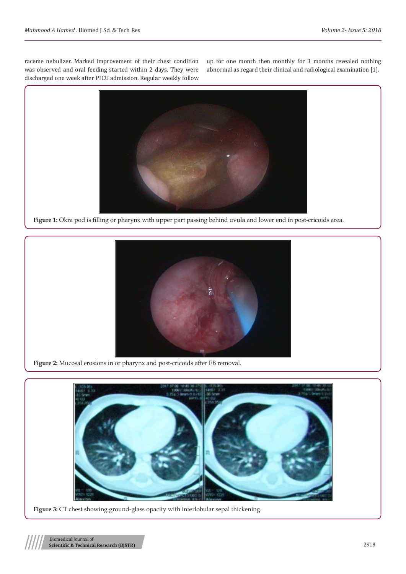raceme nebulizer. Marked improvement of their chest condition was observed and oral feeding started within 2 days. They were discharged one week after PICU admission. Regular weekly follow

up for one month then monthly for 3 months revealed nothing abnormal as regard their clinical and radiological examination [1].



**Figure 1:** Okra pod is filling or pharynx with upper part passing behind uvula and lower end in post-cricoids area.



**Figure 2:** Mucosal erosions in or pharynx and post-cricoids after FB removal.



**Figure 3:** CT chest showing ground-glass opacity with interlobular sepal thickening.